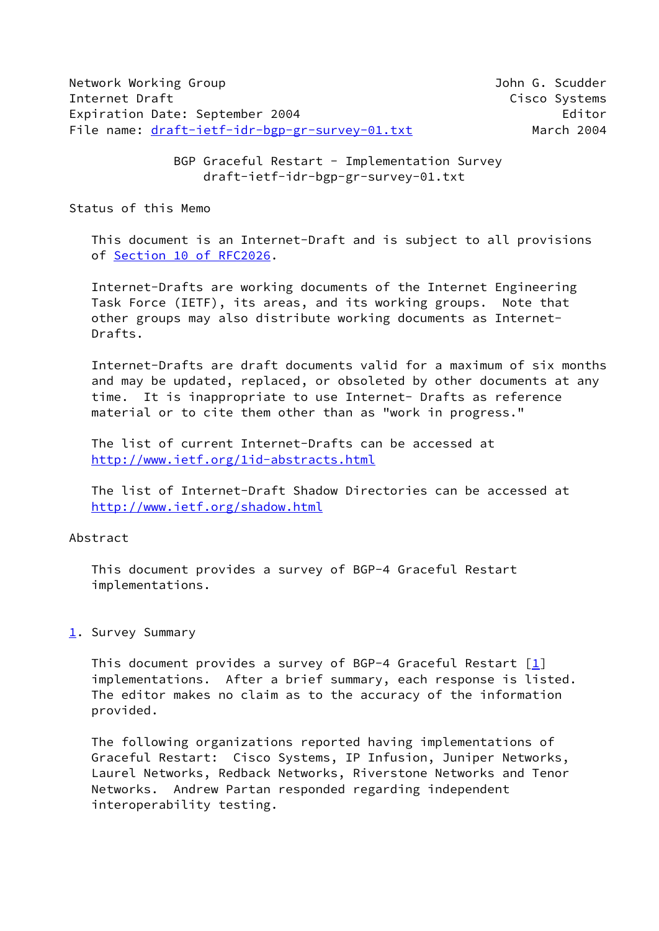BGP Graceful Restart - Implementation Survey draft-ietf-idr-bgp-gr-survey-01.txt

Status of this Memo

 This document is an Internet-Draft and is subject to all provisions of Section [10 of RFC2026.](https://datatracker.ietf.org/doc/pdf/rfc2026#section-10)

 Internet-Drafts are working documents of the Internet Engineering Task Force (IETF), its areas, and its working groups. Note that other groups may also distribute working documents as Internet- Drafts.

 Internet-Drafts are draft documents valid for a maximum of six months and may be updated, replaced, or obsoleted by other documents at any time. It is inappropriate to use Internet- Drafts as reference material or to cite them other than as "work in progress."

 The list of current Internet-Drafts can be accessed at <http://www.ietf.org/1id-abstracts.html>

 The list of Internet-Draft Shadow Directories can be accessed at <http://www.ietf.org/shadow.html>

## Abstract

 This document provides a survey of BGP-4 Graceful Restart implementations.

## <span id="page-0-0"></span>[1](#page-0-0). Survey Summary

 This document provides a survey of BGP-4 Graceful Restart [[1\]](#page-9-0) implementations. After a brief summary, each response is listed. The editor makes no claim as to the accuracy of the information provided.

 The following organizations reported having implementations of Graceful Restart: Cisco Systems, IP Infusion, Juniper Networks, Laurel Networks, Redback Networks, Riverstone Networks and Tenor Networks. Andrew Partan responded regarding independent interoperability testing.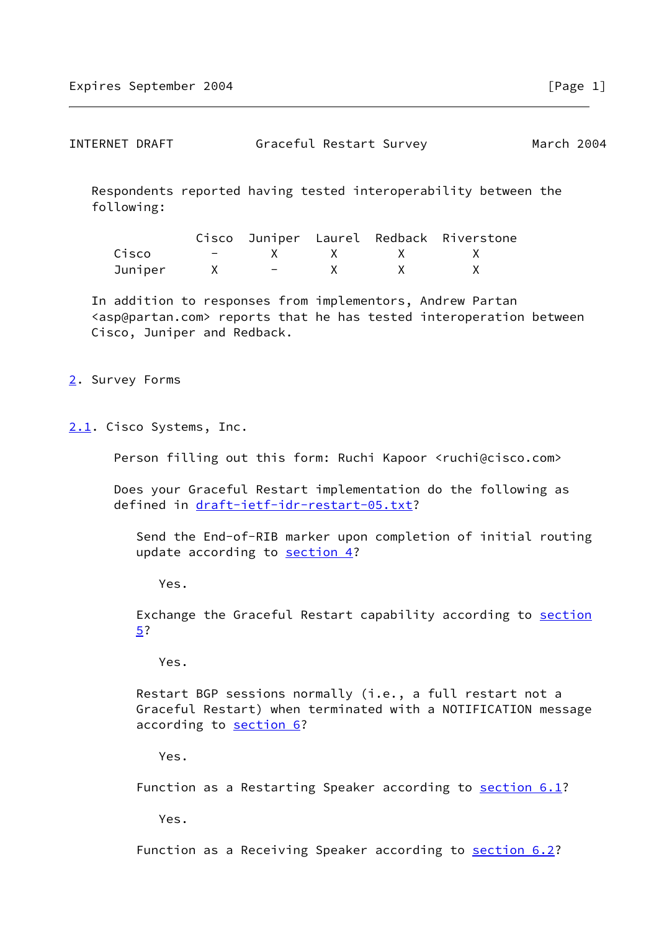| INTERNET DRAFT | Graceful Restart Survey | March 2004 |
|----------------|-------------------------|------------|
|----------------|-------------------------|------------|

 Respondents reported having tested interoperability between the following:

|         |  |  | Cisco Juniper Laurel Redback Riverstone |
|---------|--|--|-----------------------------------------|
| Cisco   |  |  |                                         |
| Juniper |  |  |                                         |

 In addition to responses from implementors, Andrew Partan <asp@partan.com> reports that he has tested interoperation between Cisco, Juniper and Redback.

## <span id="page-1-0"></span>[2](#page-1-0). Survey Forms

<span id="page-1-1"></span>[2.1](#page-1-1). Cisco Systems, Inc.

Person filling out this form: Ruchi Kapoor <ruchi@cisco.com>

 Does your Graceful Restart implementation do the following as defined in [draft-ietf-idr-restart-05.txt?](https://datatracker.ietf.org/doc/pdf/draft-ietf-idr-restart-05.txt)

 Send the End-of-RIB marker upon completion of initial routing update according to **section 4?** 

Yes.

Exchange the Graceful Restart capability according to [section](#page-9-2) [5?](#page-9-2)

Yes.

 Restart BGP sessions normally (i.e., a full restart not a Graceful Restart) when terminated with a NOTIFICATION message according to [section 6?](#page-9-3)

Yes.

Function as a Restarting Speaker according to section 6.1?

Yes.

Function as a Receiving Speaker according to **section 6.2?**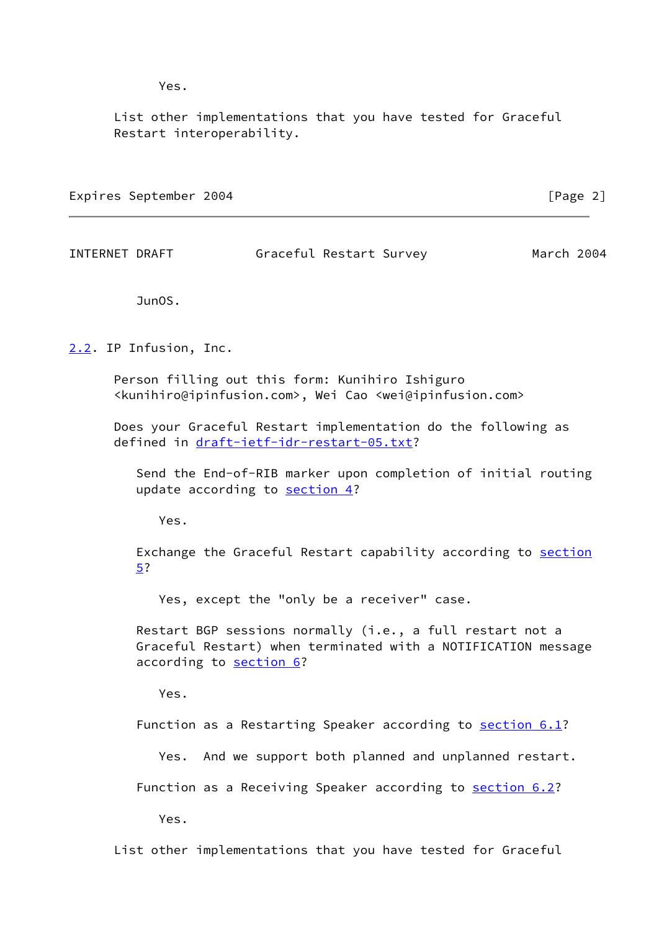Yes.

 List other implementations that you have tested for Graceful Restart interoperability.

Expires September 2004 **[Page 2]** [Page 2]

INTERNET DRAFT Graceful Restart Survey March 2004

JunOS.

<span id="page-2-0"></span>[2.2](#page-2-0). IP Infusion, Inc.

 Person filling out this form: Kunihiro Ishiguro <kunihiro@ipinfusion.com>, Wei Cao <wei@ipinfusion.com>

 Does your Graceful Restart implementation do the following as defined in [draft-ietf-idr-restart-05.txt?](https://datatracker.ietf.org/doc/pdf/draft-ietf-idr-restart-05.txt)

 Send the End-of-RIB marker upon completion of initial routing update according to [section 4?](#page-9-1)

Yes.

Exchange the Graceful Restart capability according to **[section](#page-9-2)** [5?](#page-9-2)

Yes, except the "only be a receiver" case.

 Restart BGP sessions normally (i.e., a full restart not a Graceful Restart) when terminated with a NOTIFICATION message according to [section 6?](#page-9-3)

Yes.

Function as a Restarting Speaker according to section 6.1?

Yes. And we support both planned and unplanned restart.

Function as a Receiving Speaker according to section 6.2?

Yes.

List other implementations that you have tested for Graceful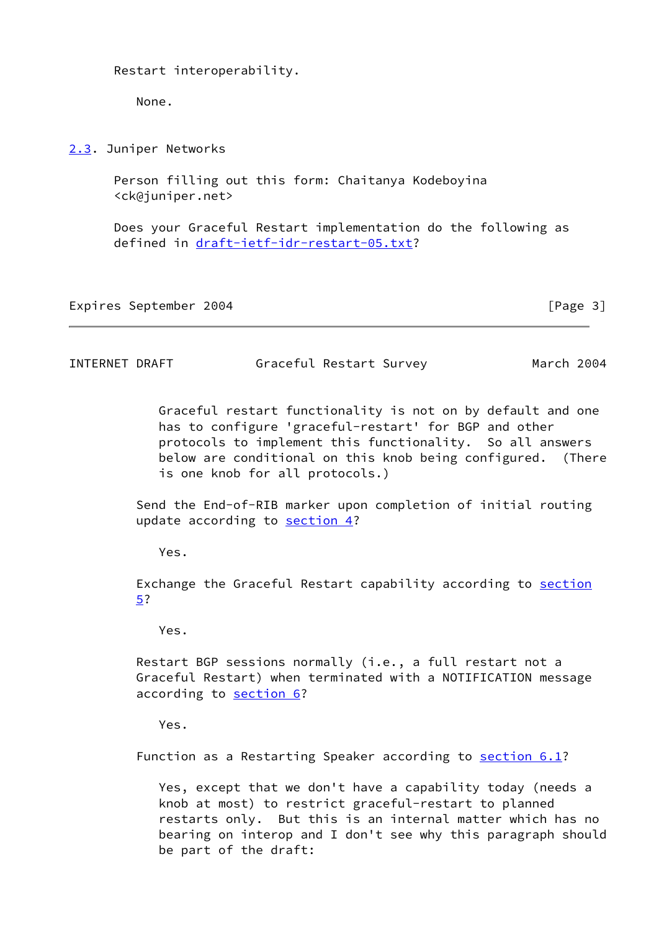Restart interoperability.

None.

<span id="page-3-0"></span>[2.3](#page-3-0). Juniper Networks

 Person filling out this form: Chaitanya Kodeboyina <ck@juniper.net>

 Does your Graceful Restart implementation do the following as defined in [draft-ietf-idr-restart-05.txt?](https://datatracker.ietf.org/doc/pdf/draft-ietf-idr-restart-05.txt)

Expires September 2004 **[Page 3]** 

INTERNET DRAFT Graceful Restart Survey March 2004

 Graceful restart functionality is not on by default and one has to configure 'graceful-restart' for BGP and other protocols to implement this functionality. So all answers below are conditional on this knob being configured. (There is one knob for all protocols.)

 Send the End-of-RIB marker upon completion of initial routing update according to [section 4?](#page-9-1)

Yes.

 Exchange the Graceful Restart capability according to [section](#page-9-2) [5?](#page-9-2)

Yes.

 Restart BGP sessions normally (i.e., a full restart not a Graceful Restart) when terminated with a NOTIFICATION message according to [section 6?](#page-9-3)

Yes.

Function as a Restarting Speaker according to section 6.1?

 Yes, except that we don't have a capability today (needs a knob at most) to restrict graceful-restart to planned restarts only. But this is an internal matter which has no bearing on interop and I don't see why this paragraph should be part of the draft: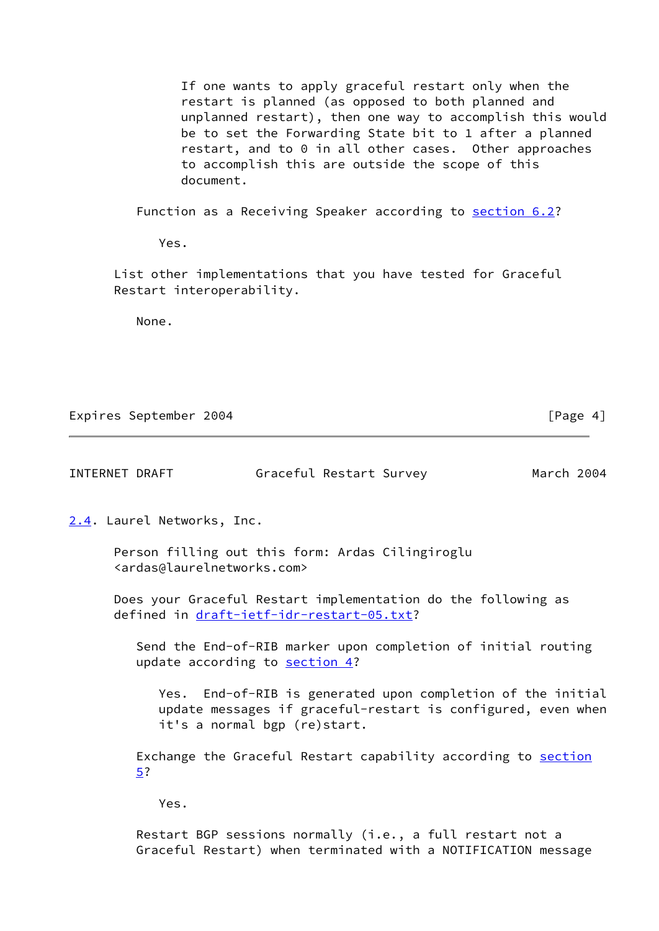If one wants to apply graceful restart only when the restart is planned (as opposed to both planned and unplanned restart), then one way to accomplish this would be to set the Forwarding State bit to 1 after a planned restart, and to 0 in all other cases. Other approaches to accomplish this are outside the scope of this document.

Function as a Receiving Speaker according to section 6.2?

Yes.

 List other implementations that you have tested for Graceful Restart interoperability.

None.

Expires September 2004 **[Page 4]** 

<span id="page-4-0"></span>

| 2.4. Laurel Networks, Inc.                                                                                                                                  |
|-------------------------------------------------------------------------------------------------------------------------------------------------------------|
| Person filling out this form: Ardas Cilingiroglu<br><ardas@laurelnetworks.com></ardas@laurelnetworks.com>                                                   |
| Does your Graceful Restart implementation do the following as<br>defined in draft-ietf-idr-restart-05.txt?                                                  |
| Send the End-of-RIB marker upon completion of initial routing<br>update according to section 4?                                                             |
| Yes. End-of-RIB is generated upon completion of the initial<br>update messages if graceful-restart is configured, even when<br>it's a normal bgp (re)start. |
| Exchange the Graceful Restart capability according to <u>section</u><br>5?                                                                                  |
| Yes.                                                                                                                                                        |

INTERNET DRAFT Graceful Restart Survey March 2004

 Restart BGP sessions normally (i.e., a full restart not a Graceful Restart) when terminated with a NOTIFICATION message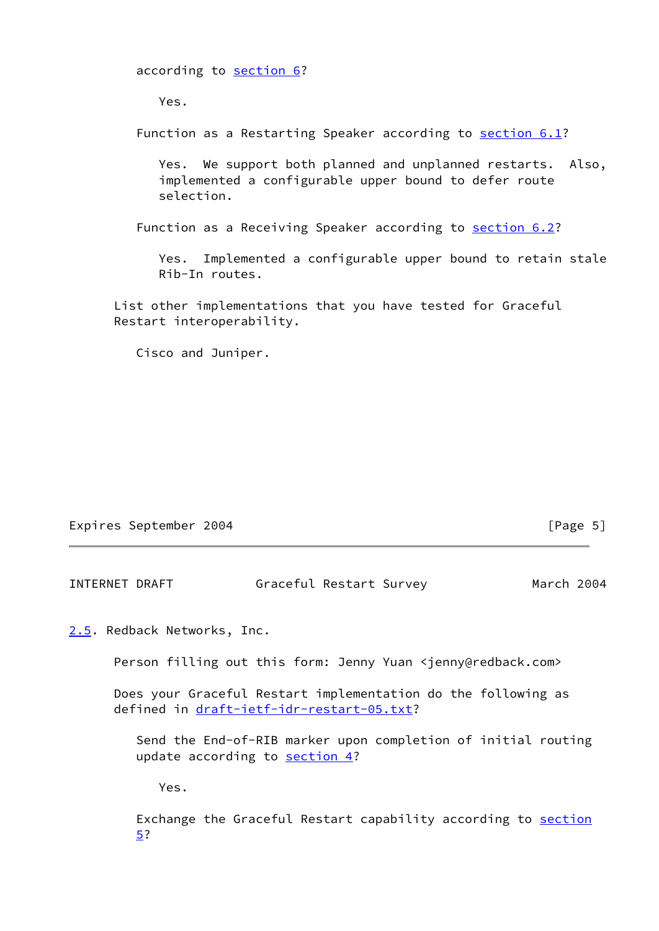according to [section 6?](#page-9-3)

Yes.

Function as a Restarting Speaker according to section 6.1?

 Yes. We support both planned and unplanned restarts. Also, implemented a configurable upper bound to defer route selection.

Function as a Receiving Speaker according to section 6.2?

 Yes. Implemented a configurable upper bound to retain stale Rib-In routes.

 List other implementations that you have tested for Graceful Restart interoperability.

Cisco and Juniper.

|  | Expires September 2004 |  | [Page $5$ ] |
|--|------------------------|--|-------------|
|--|------------------------|--|-------------|

INTERNET DRAFT Graceful Restart Survey March 2004

<span id="page-5-0"></span>[2.5](#page-5-0). Redback Networks, Inc.

Person filling out this form: Jenny Yuan <jenny@redback.com>

 Does your Graceful Restart implementation do the following as defined in [draft-ietf-idr-restart-05.txt?](https://datatracker.ietf.org/doc/pdf/draft-ietf-idr-restart-05.txt)

 Send the End-of-RIB marker upon completion of initial routing update according to [section 4?](#page-9-1)

Yes.

Exchange the Graceful Restart capability according to [section](#page-9-2) [5?](#page-9-2)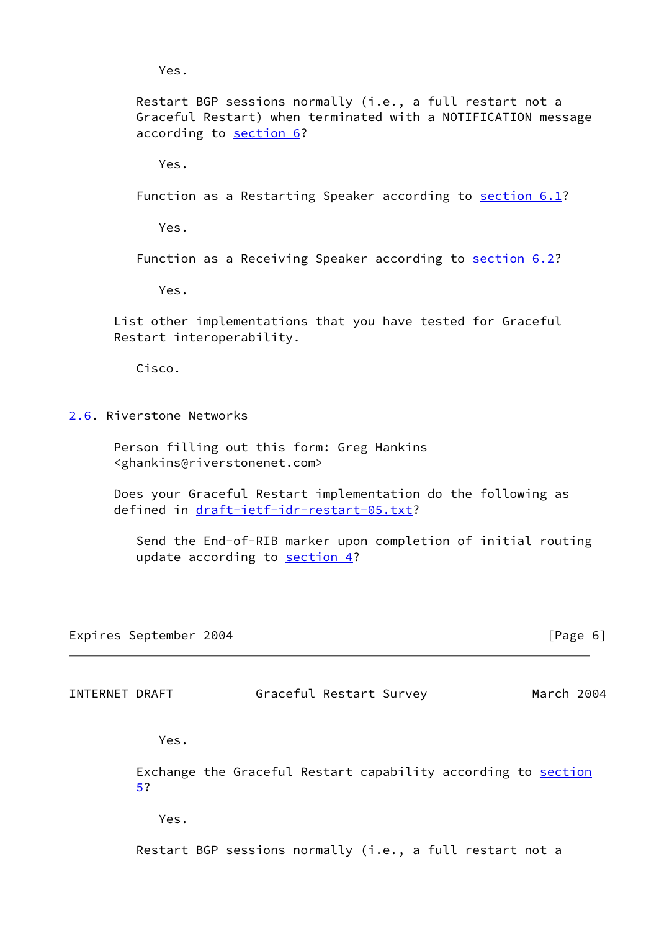Yes.

 Restart BGP sessions normally (i.e., a full restart not a Graceful Restart) when terminated with a NOTIFICATION message according to [section 6?](#page-9-3)

Yes.

Function as a Restarting Speaker according to section 6.1?

Yes.

Function as a Receiving Speaker according to section 6.2?

Yes.

 List other implementations that you have tested for Graceful Restart interoperability.

Cisco.

<span id="page-6-0"></span>[2.6](#page-6-0). Riverstone Networks

 Person filling out this form: Greg Hankins <ghankins@riverstonenet.com>

 Does your Graceful Restart implementation do the following as defined in [draft-ietf-idr-restart-05.txt?](https://datatracker.ietf.org/doc/pdf/draft-ietf-idr-restart-05.txt)

 Send the End-of-RIB marker upon completion of initial routing update according to [section 4?](#page-9-1)

Expires September 2004 **Expires** September 2004

INTERNET DRAFT Graceful Restart Survey March 2004

Yes.

 Exchange the Graceful Restart capability according to [section](#page-9-2) [5?](#page-9-2)

Yes.

Restart BGP sessions normally (i.e., a full restart not a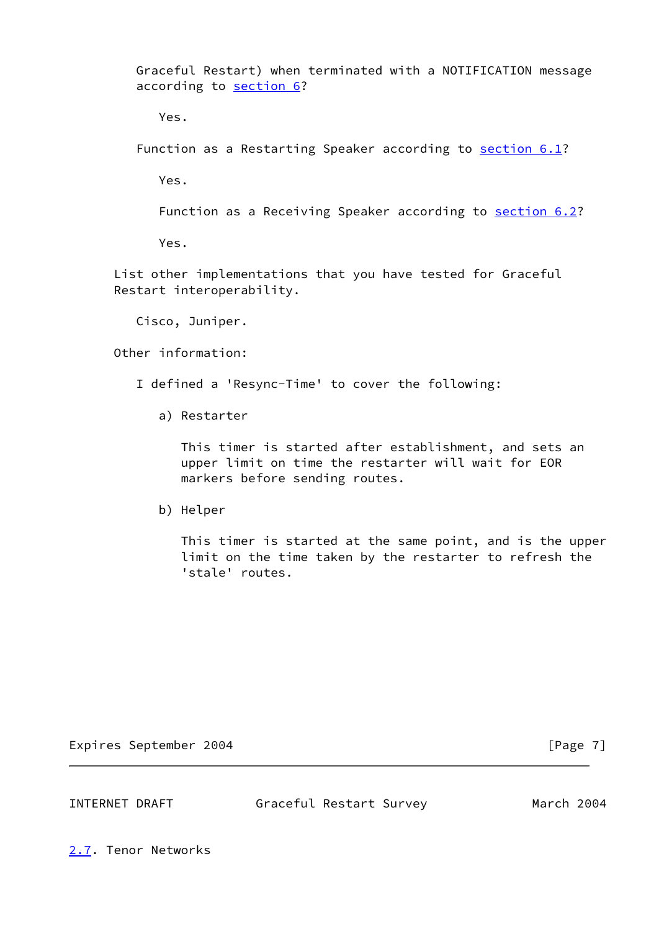Graceful Restart) when terminated with a NOTIFICATION message according to [section 6?](#page-9-3)

Yes.

Function as a Restarting Speaker according to section 6.1?

Yes.

Function as a Receiving Speaker according to section 6.2?

Yes.

 List other implementations that you have tested for Graceful Restart interoperability.

Cisco, Juniper.

Other information:

I defined a 'Resync-Time' to cover the following:

a) Restarter

 This timer is started after establishment, and sets an upper limit on time the restarter will wait for EOR markers before sending routes.

b) Helper

 This timer is started at the same point, and is the upper limit on the time taken by the restarter to refresh the 'stale' routes.

Expires September 2004 **Expires** September 2004

INTERNET DRAFT Graceful Restart Survey March 2004

<span id="page-7-0"></span>[2.7](#page-7-0). Tenor Networks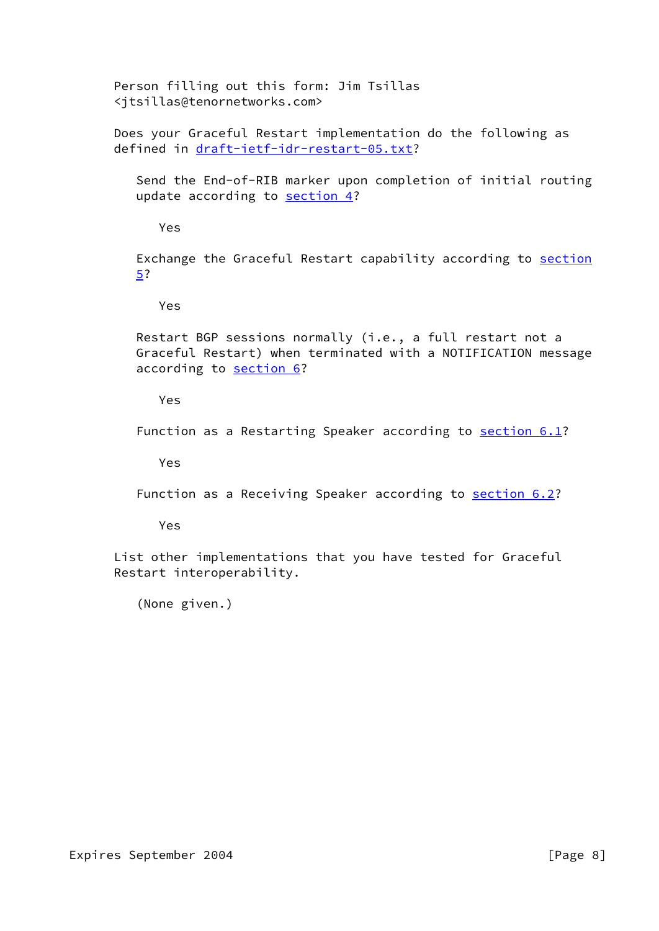Person filling out this form: Jim Tsillas <jtsillas@tenornetworks.com>

 Does your Graceful Restart implementation do the following as defined in [draft-ietf-idr-restart-05.txt?](https://datatracker.ietf.org/doc/pdf/draft-ietf-idr-restart-05.txt)

 Send the End-of-RIB marker upon completion of initial routing update according to [section 4?](#page-9-1)

Yes

Exchange the Graceful Restart capability according to [section](#page-9-2) [5?](#page-9-2)

Yes

 Restart BGP sessions normally (i.e., a full restart not a Graceful Restart) when terminated with a NOTIFICATION message according to [section 6?](#page-9-3)

Yes

Function as a Restarting Speaker according to section 6.1?

Yes

Function as a Receiving Speaker according to section 6.2?

Yes

 List other implementations that you have tested for Graceful Restart interoperability.

(None given.)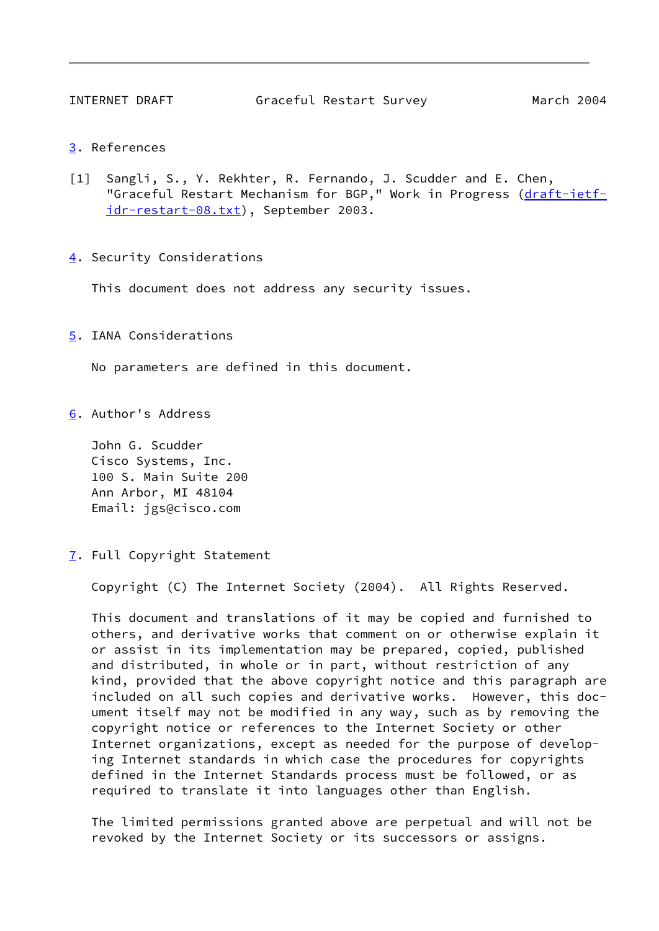- <span id="page-9-4"></span>[3](#page-9-4). References
- <span id="page-9-0"></span>[1] Sangli, S., Y. Rekhter, R. Fernando, J. Scudder and E. Chen, "Graceful Restart Mechanism for BGP," Work in Progress [\(draft-ietf](https://datatracker.ietf.org/doc/pdf/draft-ietf-idr-restart-08.txt) [idr-restart-08.txt\)](https://datatracker.ietf.org/doc/pdf/draft-ietf-idr-restart-08.txt), September 2003.
- <span id="page-9-1"></span>[4](#page-9-1). Security Considerations

This document does not address any security issues.

<span id="page-9-2"></span>[5](#page-9-2). IANA Considerations

No parameters are defined in this document.

<span id="page-9-3"></span>[6](#page-9-3). Author's Address

 John G. Scudder Cisco Systems, Inc. 100 S. Main Suite 200 Ann Arbor, MI 48104 Email: jgs@cisco.com

<span id="page-9-5"></span>[7](#page-9-5). Full Copyright Statement

Copyright (C) The Internet Society (2004). All Rights Reserved.

 This document and translations of it may be copied and furnished to others, and derivative works that comment on or otherwise explain it or assist in its implementation may be prepared, copied, published and distributed, in whole or in part, without restriction of any kind, provided that the above copyright notice and this paragraph are included on all such copies and derivative works. However, this doc ument itself may not be modified in any way, such as by removing the copyright notice or references to the Internet Society or other Internet organizations, except as needed for the purpose of develop ing Internet standards in which case the procedures for copyrights defined in the Internet Standards process must be followed, or as required to translate it into languages other than English.

 The limited permissions granted above are perpetual and will not be revoked by the Internet Society or its successors or assigns.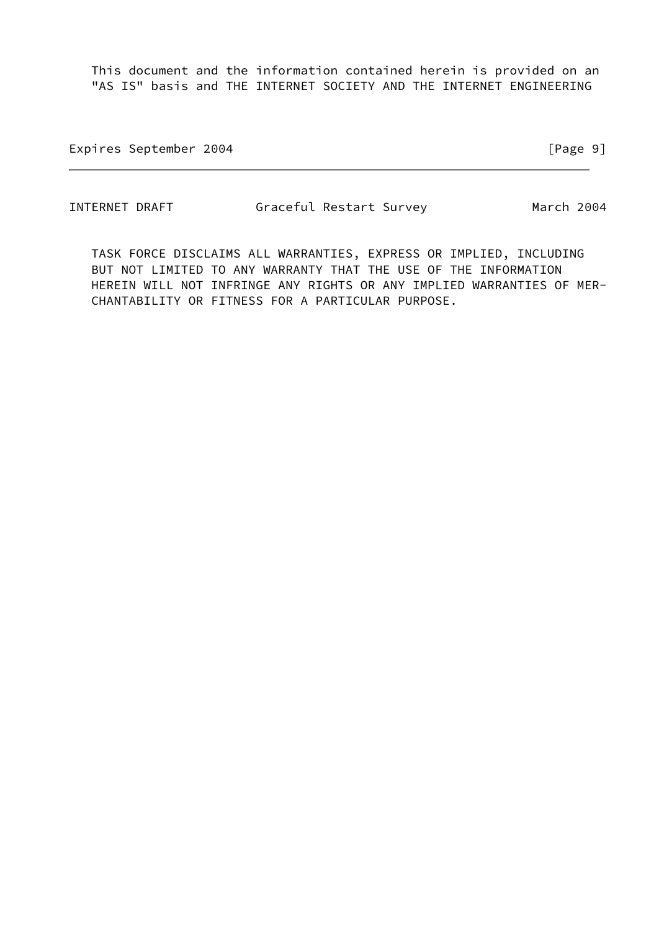This document and the information contained herein is provided on an "AS IS" basis and THE INTERNET SOCIETY AND THE INTERNET ENGINEERING

Expires September 2004 **Expires** September 2004

INTERNET DRAFT Graceful Restart Survey March 2004

 TASK FORCE DISCLAIMS ALL WARRANTIES, EXPRESS OR IMPLIED, INCLUDING BUT NOT LIMITED TO ANY WARRANTY THAT THE USE OF THE INFORMATION HEREIN WILL NOT INFRINGE ANY RIGHTS OR ANY IMPLIED WARRANTIES OF MER- CHANTABILITY OR FITNESS FOR A PARTICULAR PURPOSE.